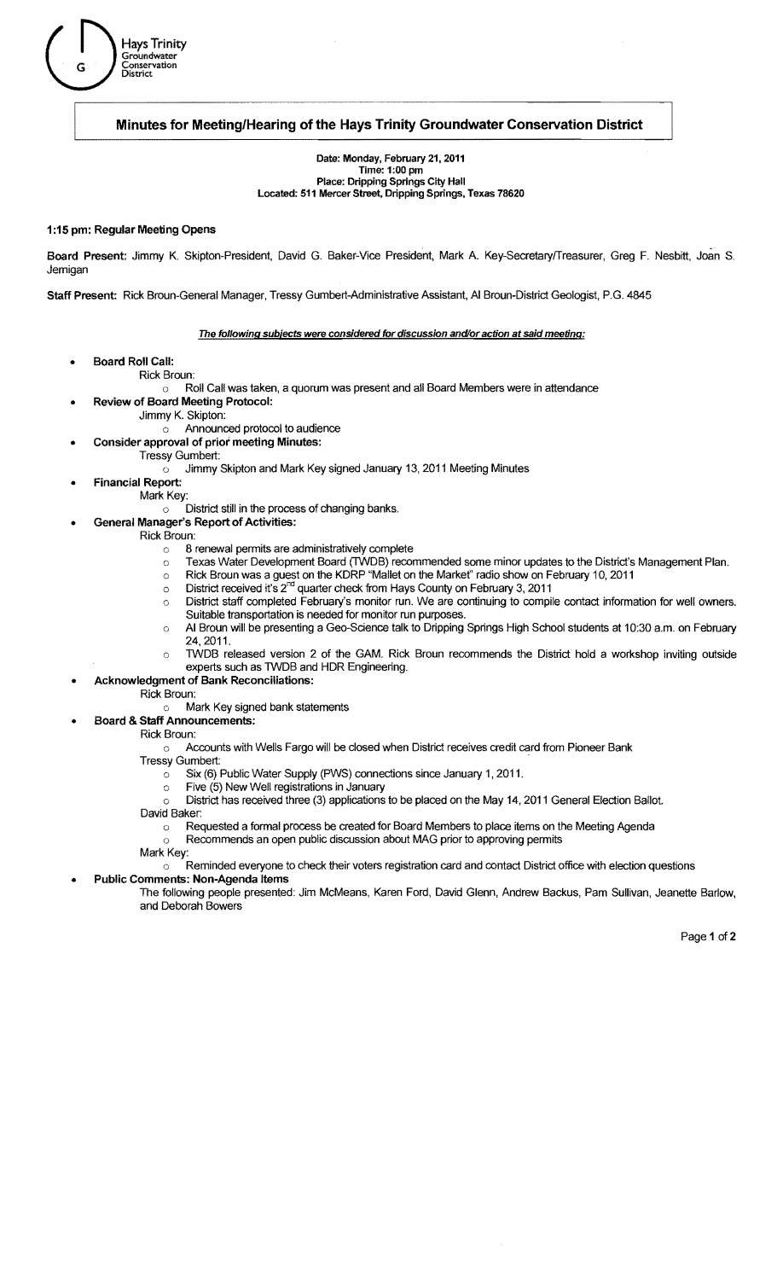

# **Minutes for Meeting/Hearing of the Hays Trinity Groundwater Conservation District**

Date: Monday, February 21, 2011 Time: 1 :00 pm Place: Dripping Springs City Hall Located: 511 Mercer Street, Dripping Springs, Texas 78620

## 1 :15 pm: Regular Meeting Opens

Board Present: Jimmy K. Skipton-President, David G. Baker-Vice President, Mark A. Key-SecretaryfTreasurer, Greg F. Nesbitt, Joan S. **Jernigan** 

Staff Present: Rick Broun-General Manager, Tressy Gumbert-Administrative Assistant, AI Broun-District Geologist, P.G. 4845

## The following subjects were considered for discussion and/or action at said meeting:

- Board Roll Call:
	- Rick Broun:
		- o Roll Call was taken, a quorum was present and all Board Members were in attendance
	- Review of Board Meeting Protocol:
		- Jimmy K. Skipton:
			- o Announced protocol to audience
		- Consider approval of prior meeting Minutes:
			- Tressy Gumbert:
				- $\circ$  Jimmy Skipton and Mark Key signed January 13, 2011 Meeting Minutes
- **Financial Report:**
- Mark Key:
	- $\circ$   $\overline{\phantom{a}}$  District still in the process of changing banks.
	- General Manager's Report of Activities:
	- Rick Broun:
		- o 8 renewal permits are administratively complete
		- $\circ$ Texas Water Development Board (TWDB) recommended some minor updates to the District's Management Plan.
		- $\circ$   $\;\;$  Rick Broun was a guest on the KDRP "Mallet on the Market" radio show on February 10, 2011
		- $\circ$  District received it's 2<sup>nd</sup> quarter check from Hays County on February 3, 2011
		- District staff completed February's monitor run. We are continuing to compile contact information for well owners.  $\circ$ Suitable transportation is needed for monitor run purposes.
		- o AI Broun will be presenting a Geo-Science talk to Dripping Springs High School students at 10:30 a.m. on February 24,2011.
		- TWDB released version 2 of the GAM. Rick Broun recommends the District hold a workshop inviting outside  $\circ$ experts such as TWOB and HDR Engineering.
- Acknowledgment of Bank Reconciliations:
	- Rick Broun:
		- Mark Key signed bank statements  $\cap$
	- Board & Staff Announcements:
		- Rick Broun:
			- o Accounts with Wells Fargo will be dosed when District receives credit card from Pioneer Bank
			- **Tressy Gumbert:** 
				- $\circ$  Six (6) Public Water Supply (PWS) connections since January 1, 2011.
				- Five (5) New Well registrations in January  $\circ$
				- o District has received three (3) applications to be placed on the May 14, 2011 General Election Ballot.

David Baker:

- o Requested a formal process be created for Board Members to place items on the Meeting Agenda
	- Recommends an open public discussion about MAG prior to approving permits

 $\circ$ Mark Key:

- Reminded everyone to check their voters registration card and contact District office with election questions
- Public Comments: Non-Agenda Items
	- The following people presented: Jim McMeans, Karen Ford, David Glenn, Andrew Backus, Pam Sullivan, Jeanette Barlow, and Deborah Bowers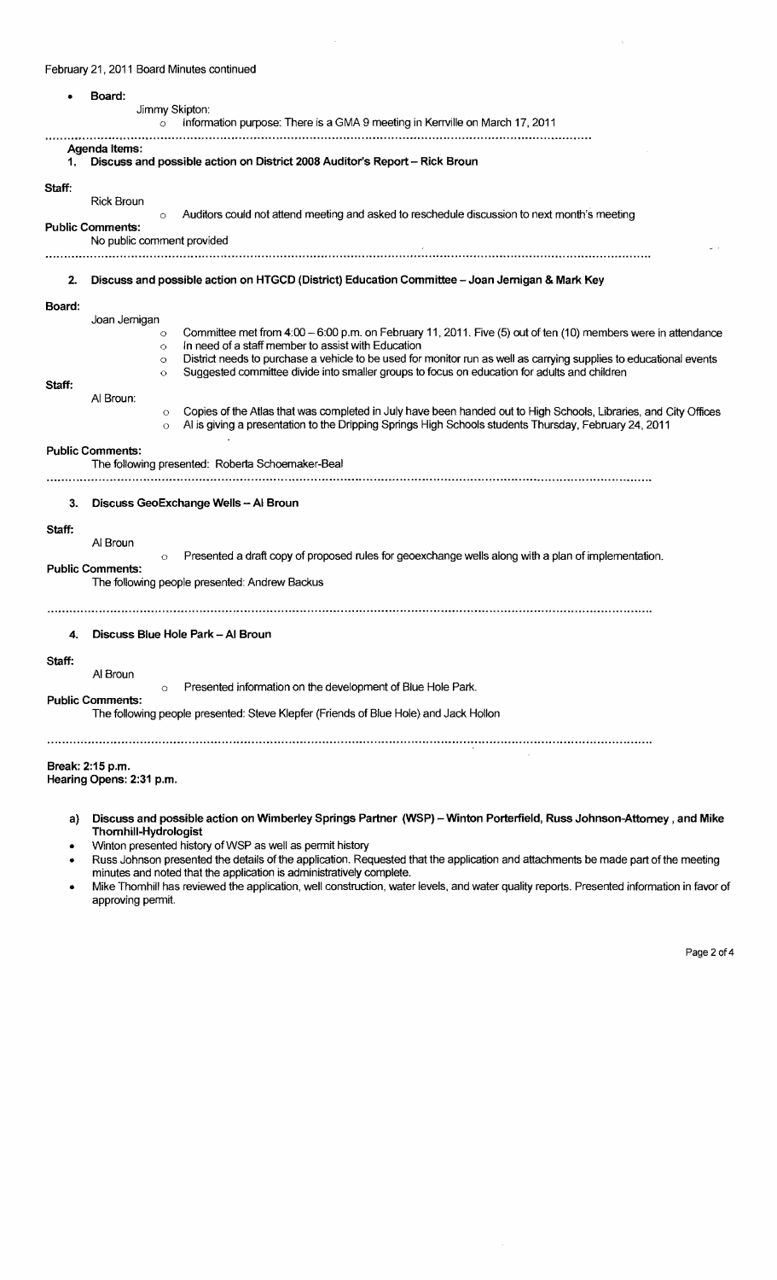## February 21, 2011 Board Minutes continued

|                                  | Board:<br>Jimmy Skipton:<br>Information purpose: There is a GMA 9 meeting in Kerrville on March 17, 2011<br>$\circ$                                                                                                                                                                                                                                                                                                                                                                                                                                                                                                                                                                                                                                                                                                                     |
|----------------------------------|-----------------------------------------------------------------------------------------------------------------------------------------------------------------------------------------------------------------------------------------------------------------------------------------------------------------------------------------------------------------------------------------------------------------------------------------------------------------------------------------------------------------------------------------------------------------------------------------------------------------------------------------------------------------------------------------------------------------------------------------------------------------------------------------------------------------------------------------|
|                                  | Agenda Items:<br>Discuss and possible action on District 2008 Auditor's Report - Rick Broun                                                                                                                                                                                                                                                                                                                                                                                                                                                                                                                                                                                                                                                                                                                                             |
| Staff:                           | <b>Rick Broun</b><br>Auditors could not attend meeting and asked to reschedule discussion to next month's meeting<br>$\circ$<br><b>Public Comments:</b><br>No public comment provided                                                                                                                                                                                                                                                                                                                                                                                                                                                                                                                                                                                                                                                   |
| 2.                               | Discuss and possible action on HTGCD (District) Education Committee - Joan Jernigan & Mark Key                                                                                                                                                                                                                                                                                                                                                                                                                                                                                                                                                                                                                                                                                                                                          |
| Board:<br>Staff:<br>3.<br>Staff: | Joan Jernigan<br>Committee met from 4:00 - 6:00 p.m. on February 11, 2011. Five (5) out of ten (10) members were in attendance<br>$\circ$<br>In need of a staff member to assist with Education<br>$\circ$<br>District needs to purchase a vehicle to be used for monitor run as well as carrying supplies to educational events<br>$\circ$<br>Suggested committee divide into smaller groups to focus on education for adults and children<br>Ō<br>Al Broun:<br>Copies of the Atlas that was completed in July have been handed out to High Schools, Libraries, and City Offices<br>$\circ$<br>Al is giving a presentation to the Dripping Springs High Schools students Thursday, February 24, 2011<br>$\circ$<br><b>Public Comments:</b><br>The following presented: Roberta Schoemaker-Beal<br>Discuss GeoExchange Wells - Al Broun |
|                                  | Al Broun<br>Presented a draft copy of proposed rules for geoexchange wells along with a plan of implementation.<br>$\circ$<br><b>Public Comments:</b><br>The following people presented: Andrew Backus                                                                                                                                                                                                                                                                                                                                                                                                                                                                                                                                                                                                                                  |
| 4.                               | Discuss Blue Hole Park - Al Broun                                                                                                                                                                                                                                                                                                                                                                                                                                                                                                                                                                                                                                                                                                                                                                                                       |
| Staff:                           | Al Broun<br>Presented information on the development of Blue Hole Park.<br>$\circ$<br><b>Public Comments:</b><br>The following people presented: Steve Klepfer (Friends of Blue Hole) and Jack Hollon                                                                                                                                                                                                                                                                                                                                                                                                                                                                                                                                                                                                                                   |
|                                  | Break: 2:15 p.m.<br>Hearing Opens: 2:31 p.m.                                                                                                                                                                                                                                                                                                                                                                                                                                                                                                                                                                                                                                                                                                                                                                                            |
| a)                               | Discuss and possible action on Wimberley Springs Partner (WSP) - Winton Porterfield, Russ Johnson-Attorney, and Mike<br>Thornhill-Hydrologist                                                                                                                                                                                                                                                                                                                                                                                                                                                                                                                                                                                                                                                                                           |

- Winton presented history of WSP as well as permit history
- Russ Johnson presented the details of the application. Requested that the application and attachments be made part of the meeting minutes and noted that the application is administratively complete.
- Mike Thomhill has reviewed the application, well construction, water levels, and water quality reports. Presented information in favor of approving permit.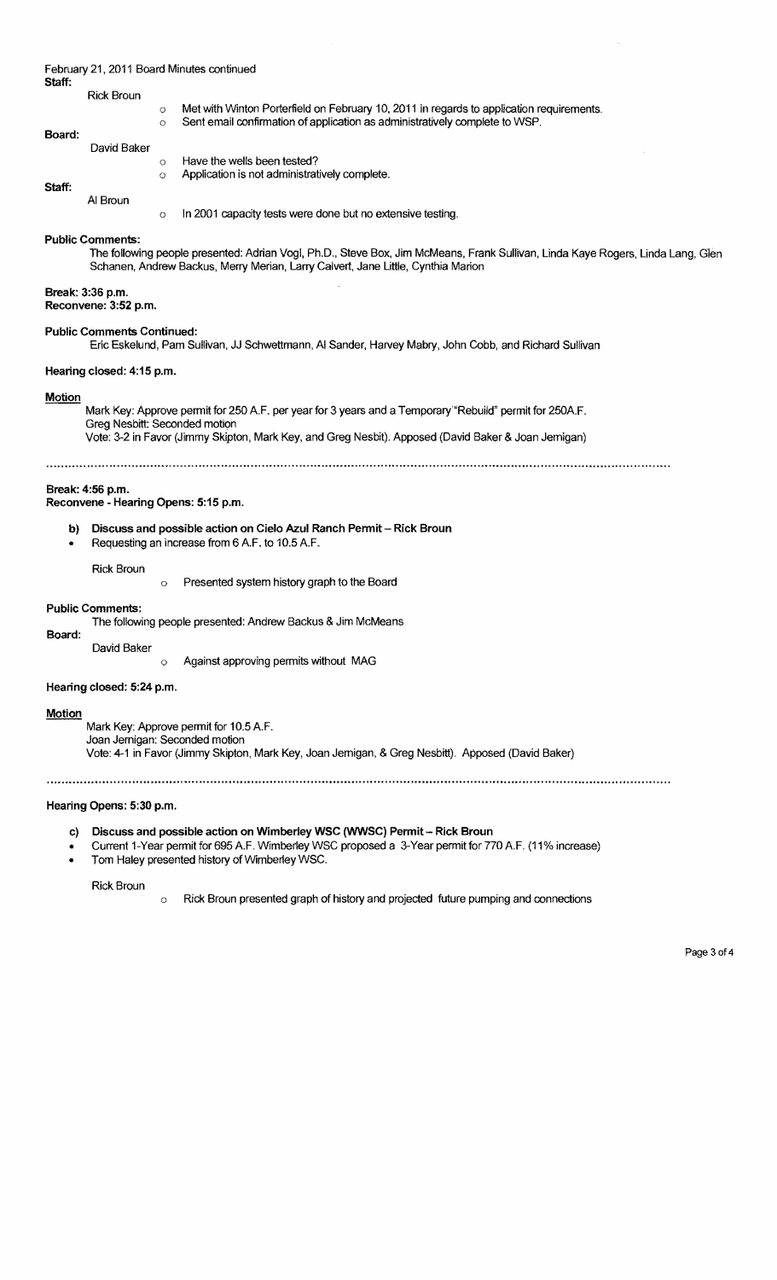| Staff:                                                                                                                                     |                                          | February 21, 2011 Board Minutes continued                                                                                                                                                                                                        |  |  |  |  |
|--------------------------------------------------------------------------------------------------------------------------------------------|------------------------------------------|--------------------------------------------------------------------------------------------------------------------------------------------------------------------------------------------------------------------------------------------------|--|--|--|--|
| Board:                                                                                                                                     | <b>Rick Broun</b>                        | Met with Winton Porterfield on February 10, 2011 in regards to application requirements.<br>$\circ$<br>Sent email confirmation of application as administratively complete to WSP.<br>$\circ$                                                    |  |  |  |  |
|                                                                                                                                            | David Baker                              | Have the wells been tested?<br>$\circ$<br>Application is not administratively complete.<br>$\circ$                                                                                                                                               |  |  |  |  |
| Staff:                                                                                                                                     | Al Broun                                 | In 2001 capacity tests were done but no extensive testing.<br>$\circ$                                                                                                                                                                            |  |  |  |  |
|                                                                                                                                            | <b>Public Comments:</b>                  | The following people presented: Adrian Vogi, Ph.D., Steve Box, Jim McMeans, Frank Sullivan, Linda Kaye Rogers, Linda Lang, Glen<br>Schanen, Andrew Backus, Merry Merian, Larry Calvert, Jane Little, Cynthia Marion                              |  |  |  |  |
|                                                                                                                                            | Break: 3:36 p.m.<br>Reconvene: 3:52 p.m. |                                                                                                                                                                                                                                                  |  |  |  |  |
| <b>Public Comments Continued:</b><br>Eric Eskelund, Pam Sullivan, JJ Schwettmann, AI Sander, Harvey Mabry, John Cobb, and Richard Sullivan |                                          |                                                                                                                                                                                                                                                  |  |  |  |  |
|                                                                                                                                            | Hearing closed: 4:15 p.m.                |                                                                                                                                                                                                                                                  |  |  |  |  |
| <b>Motion</b>                                                                                                                              |                                          | Mark Key: Approve permit for 250 A.F. per year for 3 years and a Temporary "Rebuild" permit for 250A.F.<br>Greg Nesbitt: Seconded motion<br>Vote: 3-2 in Favor (Jimmy Skipton, Mark Key, and Greg Nesbit). Apposed (David Baker & Joan Jernigan) |  |  |  |  |
|                                                                                                                                            |                                          |                                                                                                                                                                                                                                                  |  |  |  |  |
|                                                                                                                                            | Break: 4:56 p.m.                         | Reconvene - Hearing Opens: 5:15 p.m.                                                                                                                                                                                                             |  |  |  |  |
| b)<br>$\bullet$                                                                                                                            |                                          | Discuss and possible action on Cielo Azul Ranch Permit - Rick Broun<br>Requesting an increase from 6 A.F. to 10.5 A.F.                                                                                                                           |  |  |  |  |
|                                                                                                                                            | <b>Rick Broun</b>                        | Presented system history graph to the Board<br>$\circ$                                                                                                                                                                                           |  |  |  |  |

#### Public Comments:

The following people presented: Andrew Backus & Jim McMeans

Board:

o Against approving permits without MAG

Hearing closed: 5:24 p.m.

David Baker

## **Motion**

Mark Key: Approve permit for 10.5 A.F. Joan Jemigan: Seconded motion Vote: 4-1 in Favor (Jimmy Skipton, Mark Key, Joan Jemigan, & Greg Nesbitt). Apposed (David Baker)

## Hearing Opens: 5:30 p.m.

c) Discuss and possible action on Wimberley WSC (WWSC) Permit - Rick Broun

- Current 1-Year permit for 695 A.F. Wimberley WSC proposed a 3-Year permit for 770 A.F. (11% increase)
- Tom Haley presented history of Wimberley WSC.

Rick Broun

o Rick Broun presented graph of history and projected future pumping and connections